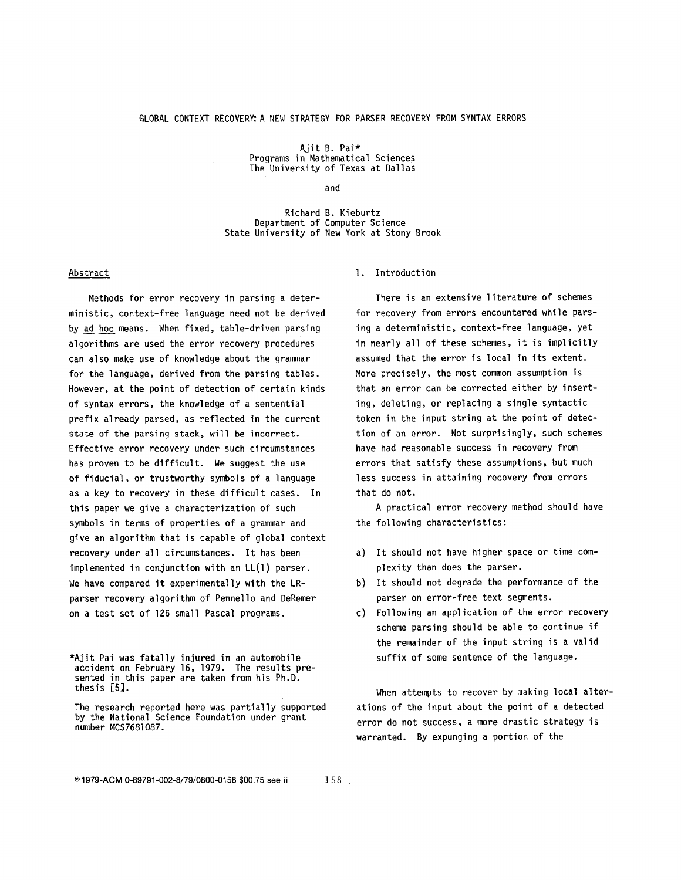Ajit B. Pai\* Programs in Mathematical Sciences The University of Texas at Dallas

and

Richard B. Kieburtz Department of Computer Science State University of New York at Stony Brook

## Abstract

Methods for error recovery in parsing a deterministic, context-free language need not be derived by ad hoc means. When fixed, table-driven parsing algorithms are used the error recovery procedures can also make use of knowledge about the grammar for the language, derived from the parsing tables. However, at the point of detection of certain kinds of syntax errors, the knowledge of a sentential prefix already parsed, as reflected in the current state of the parsing stack, will be incorrect. Effective error recovery under such circumstances has proven to be difficult. We suggest the use of fiducial, or trustworthy symbols of a language as a key to recovery in these difficult cases. In this paper we give a characterization of such symbols in terms of properties of a grammar and give an algorithm that is capable of global context recovery under all circumstances. It has been implemented in conjunction with an LL(1) parser. We have compared it experimentally with the LRparser recovery algorithm of Pennello and DeRemer on a test set of 126 small Pascal programs.

## I. Introduction

There is an extensive literature of schemes for recovery from errors encountered while parsing a deterministic, context-free language, yet in nearly all of these schemes, it is implicitly assumed that the error is local in its extent. More precisely, the most common assumption is that an error can be corrected either by inserting, deleting, or replacing a single syntactic token in the input string at the point of detection of an error. Not surprisingly, such schemes have had reasonable success in recovery from errors that satisfy these assumptions, but much less success in attaining recovery from errors that do not.

A practical error recovery method should have the following characteristics:

- a) It should not have higher space or time complexity than does the parser.
- b) It should not degrade the performance of the parser on error-free text segments.
- c) Following an application of the error recovery scheme parsing should be able to continue if the remainder of the input string is a valid suffix of some sentence of the language.

When attempts to recover by making local alterations of the input about the point of a detected error do not success, a more drastic strategy is warranted. By expunging a portion of the

<sup>\*</sup>Ajit Pai was fatally injured in an automobile accident on February 16, 1979. The results presented in this paper are taken from his Ph.D. thesis  $[5]$ .

The research reported here was partially supported by the National Science Foundation under grant number MCS7681087.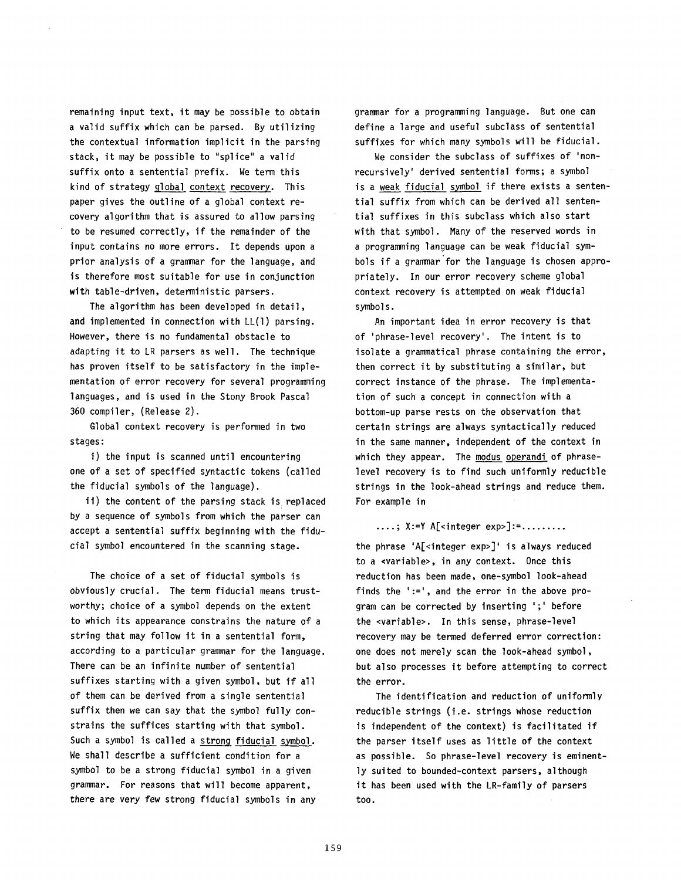remaining input text, it may be possible to obtain a valid suffix which can be parsed. By utilizing the contextual information implicit in the parsing stack, it may be possible to "splice" a valid suffix onto a sentential prefix. We term this kind of strategy global context recovery. This paper gives the outline of a global context recovery algorithm that is assured to allow parsing to be resumed correctly, if the remainder of the input contains no more errors. It depends upon a prior analysis of a grammar for the language, and is therefore most suitable for use in conjunction with table-driven, deterministic parsers.

The algorithm has been developed in detail, and implemented in connection with LL(1) parsing. However, there is no fundamental obstacle to adapting it to LR parsers as well. The technique has proven itself to be satisfactory in the implementation of error recovery for several programming languages, and is used in the Stony Brook Pascal 360 compiler, (Release 2).

Global context recovery is performed in two stages:

i) the input is scanned until encountering one of a set of specified syntactic tokens (called the fiducial symbols of the language).

ii) the content of the parsing stack is replaced by a sequence of symbols from which the parser can accept a sentential suffix beginning with the fiducial symbol encountered in the scanning stage.

The choice of a set of fiducial symbols is obviously crucial. The term fiducial means trustworthy; choice of a symbol depends on the extent to which its appearance constrains the nature of a string that may follow it in a sentential form, according to a particular grammar for the language. There can be an infinite number of sentential suffixes starting with a given symbol, but if all of them can be derived from a single sentential suffix then we can say that the symbol fully constrains the suffices starting with that symbol. Such a symbol is called a strong fiducial symbol. We shall describe a sufficient condition for a symbol to be a strong fiducial symbol in a given grammar. For reasons that will become apparent, there are very few strong fiducial symbols in any

grammar for a programming language. But one can define a large and useful subclass of sentential suffixes for which many symbols will be fiducial.

We consider the subclass of suffixes of 'nonrecursively' derived sentential forms; a symbol is a weak fiducial symbol if there exists a sentential suffix from which can be derived all sentential suffixes in this subclass which also start with that symbol. Many of the reserved words in a programming language can be weak fiducial symbols if a grammar for the language is chosen appropriately. In our error recovery scheme global context recovery is attempted on weak fiducial symbols.

An important idea in error recovery is that of 'phrase-level recovery'. The intent is to isolate a grammatical phrase containing the error, then correct it by substituting a similar, but correct instance of the phrase. The implementation of such a concept in connection with a bottom-up parse rests on the observation that certain strings are always syntactically reduced in the same manner, independent of the context in which they appear. The modus operandi of phraselevel recovery is to find such uniformly reducible strings in the look-ahead strings and reduce them. For example in

....;  $X:=Y$  A[<integer exp>]:=.........

the phrase 'A $\lceil$  <integer exp>]' is always reduced to a «variable», in any context. Once this reduction has been made, one-symbol look-ahead finds the ':=', and the error in the above program can be corrected by inserting ';' before the <variable>. In this sense, phrase-level recovery may be termed deferred error correction: one does not merely scan the look-ahead symbol, but also processes it before attempting to correct the error.

The identification and reduction of uniformly reducible strings (i.e. strings whose reduction is independent of the context) is facilitated if the parser itself uses as little of the context as possible. So phrase-level recovery is eminently suited to bounded-context parsers, although it has been used with the LR-family of parsers too.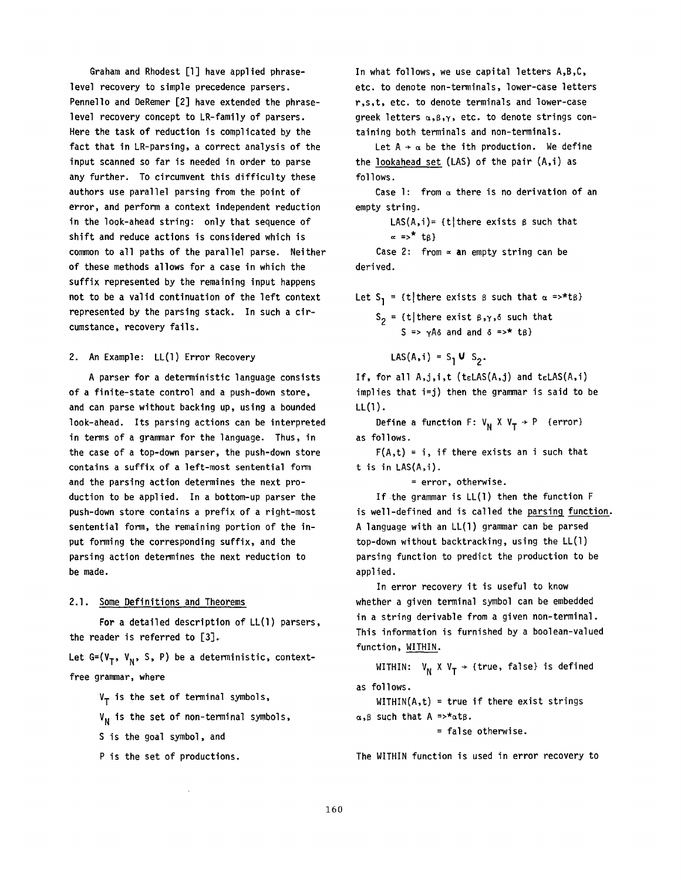Graham and Rhodest [l] have applied phraselevel recovery to simple precedence parsers. Pennello and DeRemer [2] have extended the phraselevel recovery concept to LR-family of parsers. Here the task of reduction is complicated by the fact that in LR-parsing, a correct analysis of the input scanned so far is needed in order to parse any further. To circumvent this difficulty these authors use parallel parsing from the point of error, and perform a context independent reduction in the look-ahead string: only that sequence of shift and reduce actions is considered which is common to all paths of the parallel parse. Neither of these methods allows for a case in which the suffix represented by the remaining input happens not to be a valid continuation of the left context represented by the parsing stack. In such a circumstance, recovery fails.

## 2. An Example: LL(1) Error Recovery

A parser for a deterministic language consists of a finite-state control and a push-down store, and can parse without backing up, using a bounded look-ahead. Its parsing actions can be interpreted in terms of a grammar for the language. Thus, in the case of a top-down parser, the push-down store contains a suffix of a left-most sentential form and the parsing action determines the next production to be applied. In a bottom-up parser the push-down store contains a prefix of a right-most sentential form, the remaining portion of the input forming the corresponding suffix, and the parsing action determines the next reduction to be made.

## 2.1. Some Definitions and Theorems

For a detailed description of LL(1) parsers, the reader is referred to [3].

Let G=( $V_T$ ,  $V_N$ , S, P) be a deterministic, contextfree grammar, where

 $V_T$  is the set of terminal symbols,

 $V_N$  is the set of non-terminal symbols,

S is the goal symbol, and

P is the set of productions.

In what follows, we use capital letters A,B,C, etc. to denote non-terminals, lower-case letters r,s,t, etc. to denote terminals and lower-case greek letters  $\alpha, \beta, \gamma$ , etc. to denote strings containing both terminals and non-terminals.

Let  $A \rightarrow \alpha$  be the ith production. We define the lookahead set (LAS) of the pair (A,i) as follows.

Case 1: from  $\alpha$  there is no derivation of an empty string.

LAS(A,i)= {t| there exists  $\beta$  such that  $\alpha$  =><sup>\*</sup> t<sub>B</sub>} Case 2: from  $\infty$  an empty string can be

derived.

Let S<sub>1</sub> = {t|there exists  $\beta$  such that  $\alpha$  =>\*t $\beta$ }  $S_2$  = {t|there exist  $\beta, \gamma, \delta$  such that

 $S \Rightarrow \gamma A \delta$  and and  $\delta \Rightarrow$ \* t $\beta$ }

$$
LAS(A, i) = S_1 \cup S_2.
$$

If, for all  $A,j,i,t$  (telAS $(A,j)$  and telAS $(A,i)$ implies that i=j) then the grammar is said to be LL(1).

Define a function F:  $V_N$  X  $V_T$   $\rightarrow$  P {error} as follows.

 $F(A,t) = i$ , if there exists an i such that t is in LAS(A,i).

= error, otherwise.

If the grammar is LL(1) then the function F is well-defined and is called the parsing function. A language with an LL(1) grammar can be parsed top-down without backtracking, using the LL(1) parsing function to predict the production to be applied.

In error recovery it is useful to know whether a given terminal symbol can be embedded in a string derivable from a given non-terminal. This information is furnished by a boolean-valued function, WITHIN.

WITHIN:  $V_N$  X  $V_T$   $\rightarrow$  {true, false} is defined as follows.

 $WITHIN(A,t) = true if there exist strings$  $\alpha, \beta$  such that A =>\* $\alpha$ t $\beta$ .

= false otherwise.

The WITHIN function is used in error recovery to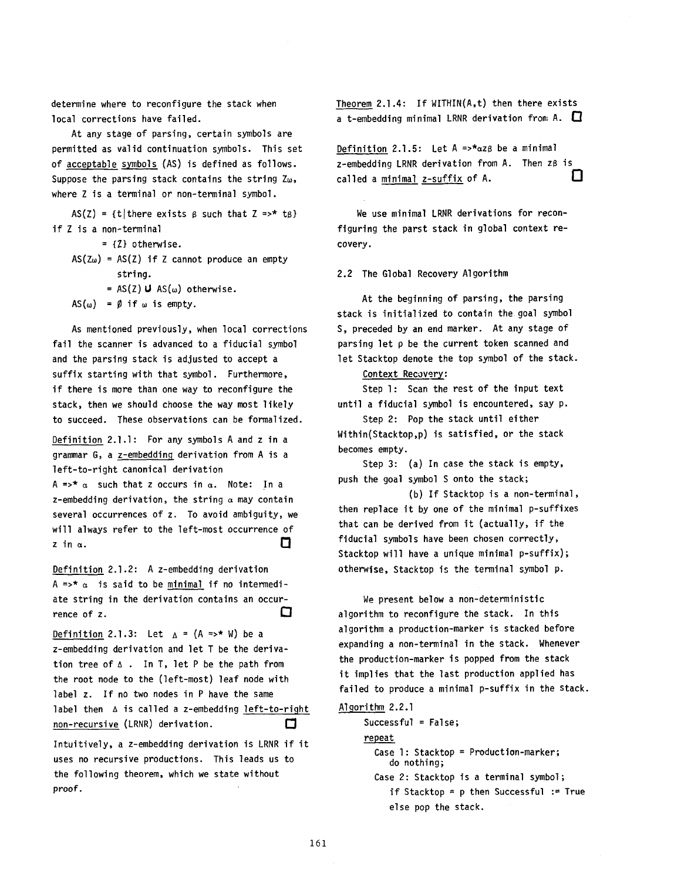determine where to reconfigure the stack when local corrections have failed.

At any stage of parsing, certain symbols are permitted as valid continuation symbols. This set of acceptable symbols (AS) is defined as follows. Suppose the parsing stack contains the string  $Z_{\omega}$ , where Z is a terminal or non-terminal symbol.

 $AS(Z) = {t | there exists  $\beta$  such that  $Z \Rightarrow * \tg$  }$ if Z is a non-terminal

- = {Z} otherwise.
- $AS(Z_{\omega}) = AS(Z)$  if Z cannot produce an empty string.
	- =  $AS(Z)$  U  $AS(\omega)$  otherwise.

 $AS(\omega) = \emptyset$  if  $\omega$  is empty.

As mentioned previously, when local corrections fail the scanner is advanced to a fiducial symbol and the parsing stack is adjusted to accept a suffix starting with that symbol. Furthermore, if there is more than one way to reconfigure the stack, then we should choose the way most likely to succeed. These observations can be formalized.

Definition 2.1.1: For any symbols A and z in a grammar G, a z-embedding derivation from A is a left-to-right canonical derivation

A =>\*  $\alpha$  such that z occurs in  $\alpha$ . Note: In a z-embedding derivation, the string  $\alpha$  may contain several occurrences of z. To avoid ambiguity, we will always refer to the left-most occurrence of O  $\mathsf{z}$  in  $\alpha$ .

Definition 2.1.2: A z-embedding derivation  $A \Rightarrow^* \alpha$  is said to be minimal if no intermediate string in the derivation contains an occurrence of z.  $\Box$ 

Definition 2.1.3: Let  $A = (A \Rightarrow^* W)$  be a z-embedding derivation and let T be the derivation tree of  $\Delta$ . In T, let P be the path from the root node to the (left-most) leaf node with label z. If no two nodes in P have the same label then  $\Delta$  is called a z-embedding left-to-right non-recursive (LRNR) derivation.  $\Box$ 

Intuitively, a z-embedding derivation is LRNR if it uses no recursive productions. This leads us to the following theorem, which we state without proof.

Theorem 2.1.4: If WITHIN(A,t) then there exists a t-embedding minimal LRNR derivation from A.  $\Box$ 

Definition 2.1.5: Let  $A \Rightarrow x \alpha ZB$  be a minimal z-embedding LRNR derivation from A. Then zß is Ω called a minimal z-suffix of A.

We use minimal LRNR derivations for reconfiguring the parst stack in global context recovery.

2.2 The Global Recovery Algorithm

At the beginning of parsing, the parsing stack is initialized to contain the goal symbol S, preceded by an end marker. At any stage of parsing let p be the current token scanned and let Stacktop denote the top symbol of the stack.

Context Recovery:

Step l: Scan the rest of the input text until a fiducial symbol is encountered, say p.

Step 2: Pop the stack until either Within(Stacktop,p) is satisfied, or the stack becomes empty.

Step 3: (a) In case the stack is empty, push the goal symbol S onto the stack;

(b) If Stacktop is a non-terminal, then replace it by one of the minimal p-suffixes that can be derived from it (actually, if the fiducial symbols have been chosen correctly, Stacktop will have a unique minimal p-suffix); otherwise, Stacktop is the terminal symbol p.

We present below a non-deterministic algorithm to reconfigure the stack. In this algorithm a production-marker is stacked before expanding a non-terminal in the stack. Whenever the production-marker is popped from the stack it implies that the last production applied has failed to produce a minimal p-suffix in the stack.

Algorithm 2.2.1

Successful = False; repeat Case l: Stacktop = Production-marker; do nothing; Case 2: Stacktop is a terminal symbol; if Stacktop = p then Successful := True else pop the stack.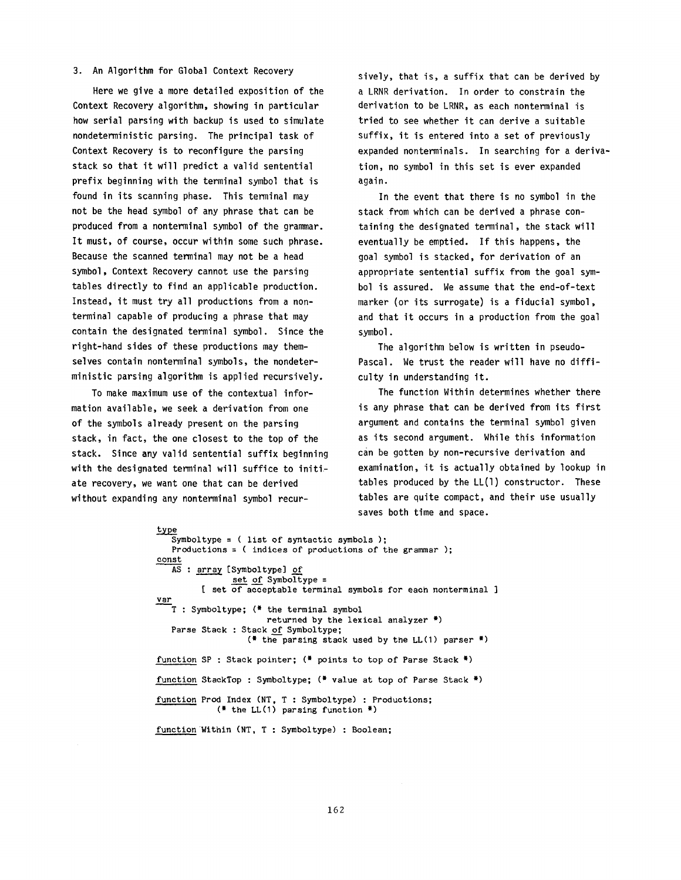#### 3. An Algorithm for Global Context Recovery

Here we give a more detailed exposition of the Context Recovery algorithm, showing in particular how serial parsing with backup is used to simulate nondeterministic parsing. The principal task of Context Recovery is to reconfigure the parsing stack so that it will predict a valid sentential prefix beginning with the terminal symbol that is found in its scanning phase. This terminal may not be the head symbol of any phrase that can be produced from a nonterminal symbol of the grammar. It must, of course, occur within some such phrase. Because the scanned terminal may not be a head symbol, Context Recovery cannot use the parsing tables directly to find an applicable production. Instead, it must try all productions from a nonterminal capable of producing a phrase that may contain the designated terminal symbol. Since the right-hand sides of these productions may themselves contain nonterminal symbols, the nondeterministic parsing algorithm is applied recursively.

To make maximum use of the contextual information available, we seek a derivation from one of the symbols already present on the parsing stack, in fact, the one closest to the top of the stack. Since any valid sentential suffix beginning with the designated terminal will suffice to initiate recovery, we want one that can be derived without expanding any nonterminal symbol recur-

sively, that is, a suffix that can be derived by a LRNR derivation. In order to constrain the derivation to be LRNR, as each nonterminal is tried to see whether it can derive a suitable suffix, it is entered into a set of previously expanded nonterminals. In searching for a derivation, no symbol in this set is ever expanded again.

In the event that there is no symbol in the stack from which can be derived a phrase containing the designated terminal, the stack will eventually be emptied. If this happens, the goal symbol is stacked, for derivation of an appropriate sentential suffix from the goal symbol is assured. We assume that the end-of-text marker (or its surrogate) is a fiducial symbol, and that it occurs in a production from the goal symbol.

The algorithm below is written in pseudo-Pascal. We trust the reader will have no difficulty in understanding it.

The function Within determines whether there is any phrase that can be derived from its first argument and contains the terminal symbol given as its second argument. While this information can be gotten by non-recursive derivation and examination, it is actually obtained by lookup in tables produced by the LL(1) constructor. These tables are quite compact, and their use usually saves both time and space.

```
type 
   Symboltype = ( list of syntactic symbols );Productions : ( indices of productions of the grammar ); 
const 
   AS: array [Symboltype] of
               set of Symboltype =
         [ set of acceptable terminal symbols for each nonterminal ]
var 
   T : Symboltype; (* the terminal symbol 
                      returned by the lexical analyzer *) 
   Parse Stack : Stack of Symboltype;
                  (* the parsing stack used by the LL(1) parser *)
function SP : Stack pointer; (* points to top of Parse Stack *) 
function StackTop : Symboltype; (* value at top of Parse Stack *) 
function Prod Index (NT, T : Symboltype) : Productions; 
            (* the LL(1) parsing function *) 
function Within (NT, T : Symboltype) : Boolean;
```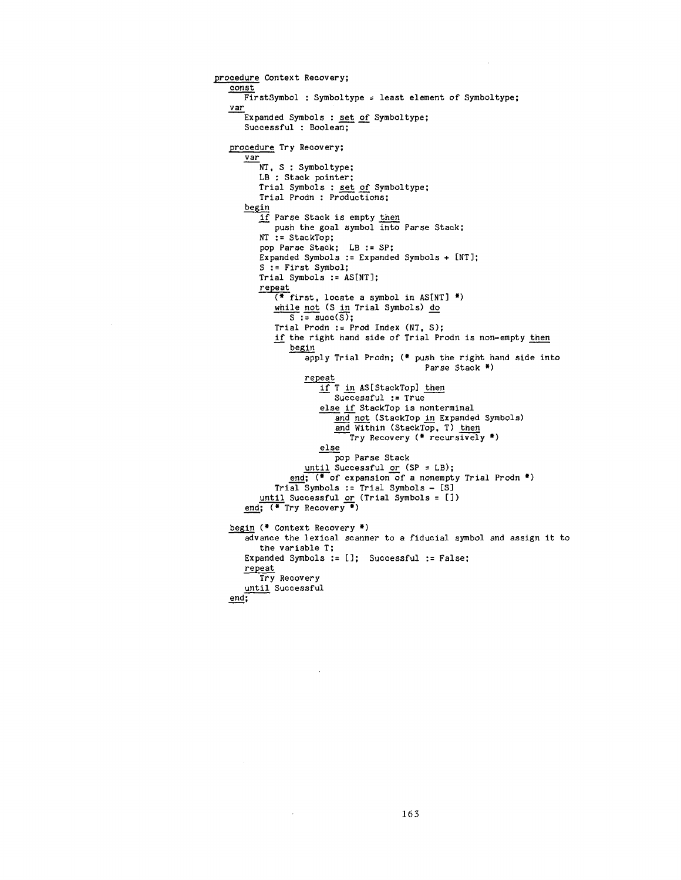```
procedure Context Recovery; 
   const 
      FirstSymbol : Symboltype = least element of Symboltype;
   var 
      Expanded Symbols : set of Symboltype; 
      Successful : Boolean; 
   procedure Try Recovery; 
      var 
         NT, S : Symboltype;
         LB : Stack pointer; 
         Trial Symbols : set of Symboltype; 
         Trial Prodn : Productions; 
      begin
         if Parse Stack is empty then 
            push the goal symbol into Parse Stack; 
         NT := StackTop; 
          pop Parse Stack; LB := SP; 
          Expanded Symbols := Expanded Symbols + [NT]; 
         S := First Symbol; 
         Trial Symbols := AS[NT]; 
         repeat 
            (* first, locate a symbol in AS[NT] *) 
            while not (S in Trial Symbols) do
               S := \text{succ}(S);
            Trial Prodn := Prod Index (NT, S); 
            if the right hand side of Trial Prodn is non-empty then 
               begin
                   apply Trial Prodn; (* push the right hand side into 
                                            Parse Stack *) 
                   repeat 
                      if T in AS[StackTop] then 
                         Successful := True 
                      else if StackTop is nonterminal 
                         and not (StackTop in Expanded Symbols)
                         and Within (StackTop, T) then
                            Try Recovery (* recursively *) 
                      else 
                         pop Parse Stack 
                  until Successful or (SP = LB);
               end; (* of expansion of a nonempty Trial Prodn *) 
             Trial Symbols := Trial Symbols - [S] 
          <u>until</u> Successful <u>or</u> (Trial Symbols = [j) |
      end; (* Try Recovery *) 
   begin (* Context Recovery *)
      advance the lexical scanner to a fiducial symbol and assign it to 
         the variable T; 
      Expanded Symbols := []; Successful := False: 
      repeat 
         Try Recovery 
      until Successful 
   end;
```
 $\bar{\beta}$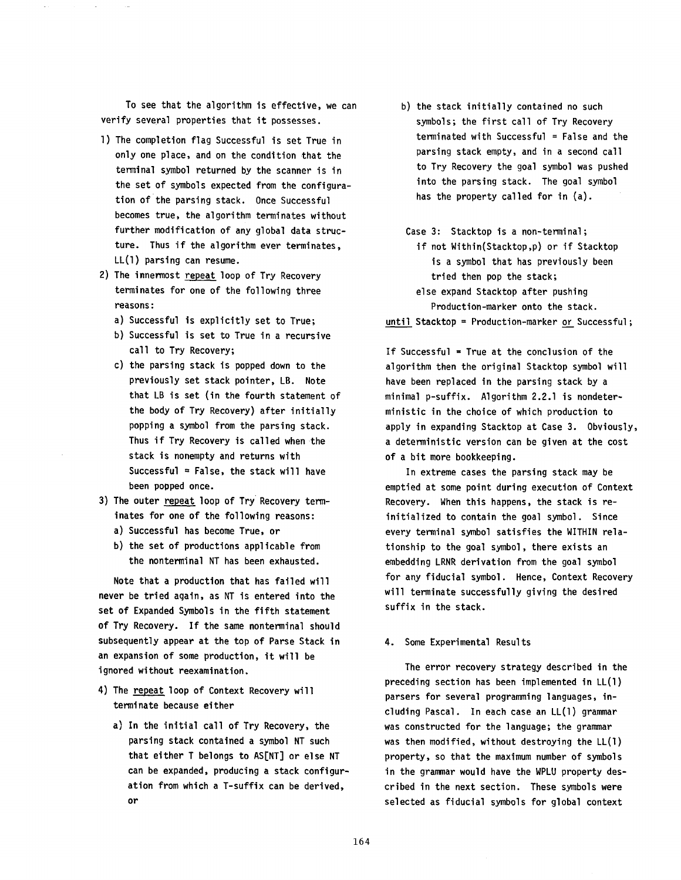To see that the algorithm is effective, we can verify several properties that it possesses.

- l) The completion flag Successful is set True in only one place, and on the condition that the terminal symbol returned by the scanner is in the set of symbols expected from the configuration of the parsing stack. Once Successful becomes true, the algorithm terminates without further modification of any global data structure. Thus if the algorithm ever terminates, LL(1) parsing can resume.
- 2) The innermost repeat loop of Try Recovery terminates for one of the following three reasons:
	- a) Successful is explicitly set to True;
	- b) Successful is set to True in a recursive call to Try Recovery;
	- c) the parsing stack is popped down to the previously set stack pointer, LB. Note that LB is set (in the fourth statement of the body of Try Recovery) after initially popping a symbol from the parsing stack. Thus if Try Recovery is called when the stack is nonempty and returns with Successful = False, the stack will have been popped once.
- 3) The outer repeat loop of Try Recovery terminates for one of the following reasons:
	- a) Successful has become True, or
	- b) the set of productions applicable from the nonterminal NT has been exhausted.

Note that a production that has failed will never be tried again, as NT is entered into the set of Expanded Symbols in the fifth statement of Try Recovery. If the same nonterminal should subsequently appear at the top of Parse Stack in an expansion of some production, it will be ignored without reexamination.

- 4) The repeat loop of Context Recovery will terminate because either
	- a) In the initial call of Try Recovery, the parsing stack contained a symbol NT such that either T belongs to AS[NT] or else NT can be expanded, producing a stack configuration from which a T-suffix can be derived, or
- b) the stack initially contained no such symbols; the first call of Try Recovery  $terminated$  with Successful = False and the parsing stack empty, and in a second call to Try Recovery the goal symbol was pushed into the parsing stack. The goal symbol has the property called for in (a).
- Case 3: Stacktop is a non-terminal; if not Within(Stacktop,p) or if Stacktop is a symbol that has previously been tried then pop the stack;

else expand Stacktop after pushing Production-marker onto the stack.

until Stacktop = Production-marker or Successful;

If Successful = True at the conclusion of the algorithm then the original Stacktop symbol will have been replaced in the parsing stack by a minimal p-suffix. Algorithm 2.2.1 is nondeterministic in the choice of which production to apply in expanding Stacktop at Case 3. Obviously, a deterministic version can be given at the cost of a bit more bookkeeping.

In extreme cases the parsing stack may be emptied at some point during execution of Context Recovery. When this happens, the stack is reinitialized to contain the goal symbol. Since every terminal symbol satisfies the WITHIN relationship to the goal symbol, there exists an embedding LRNR derivation from the goal symbol for any fiducial symbol. Hence, Context Recovery will terminate successfully giving the desired suffix in the stack.

## 4. Some Experimental Results

The error recovery strategy described in the preceding section has been implemented in LL(1) parsers for several programming languages, including Pascal. In each case an LL(1) grammar was constructed for the language; the grammar was then modified, without destroying the LL(1) property, so that the maximum number of symbols in the grammar would have the WPLU property described in the next section. These symbols were selected as fiducial symbols for global context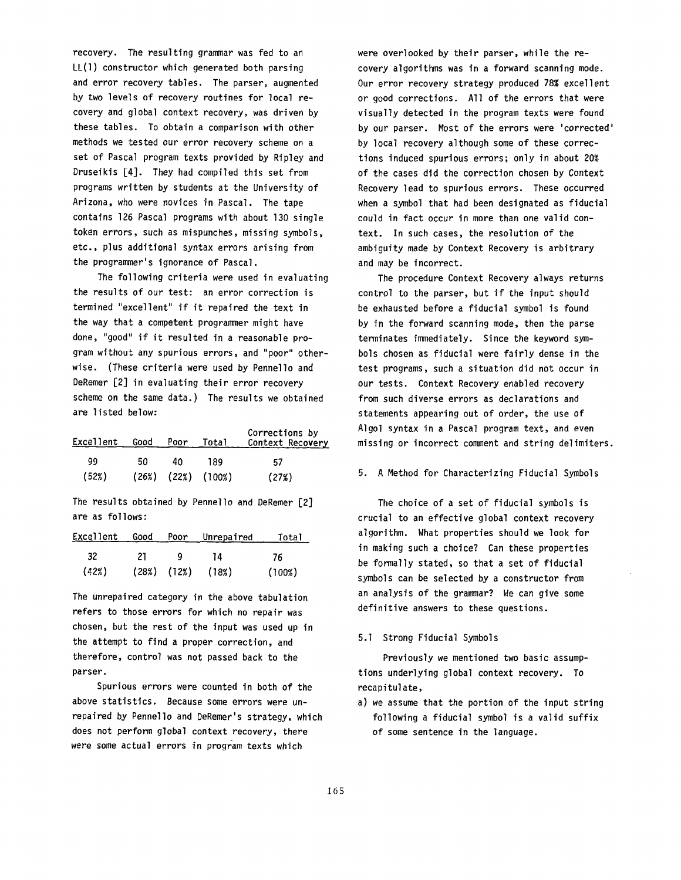recovery. The resulting grammar was fed to an LL(1) constructor which generated both parsing and error recovery tables. The parser, augmented by two levels of recovery routines for local recovery and global context recovery, was driven by these tables. To obtain a comparison with other methods we tested our error recovery scheme on a set of Pascal program texts provided by Ripley and Druseikis [4]. They had compiled this set from programs written by students at the University of Arizona, who were novices in Pascal. The tape contains 126 Pascal programs with about 130 single token errors, such as mispunches, missing symbols, etc., plus additional syntax errors arising from the programmer's ignorance of Pascal.

The following criteria were used in evaluating the results of our test: an error correction is termined "excellent" if it repaired the text in the way that a competent programmer might have done, "good" if it resulted in a reasonable program without any spurious errors, and "poor" otherwise. (These criteria were used by Pennello and DeRemer [2] in evaluating their error recovery scheme on the same data.) The results we obtained are listed below:

| Excellent | Good | Poor | Total                    | Corrections by<br>Context Recovery |
|-----------|------|------|--------------------------|------------------------------------|
| 99        | 50   | 40.  | 189                      | 57                                 |
| (52%)     |      |      | $(26%)$ $(22%)$ $(100%)$ | (27%)                              |

The results obtained by Pennello and DeRemer [2] are as follows:

| Excellent |     |   | Good Poor Unrepaired    | Total  |
|-----------|-----|---|-------------------------|--------|
| -32       | 21. | Q | 14                      | 76     |
| (42%)     |     |   | $(28%)$ $(12%)$ $(18%)$ | (100%) |

The unrepaired category in the above tabulation refers to those errors for which no repair was chosen, but the rest of the input was used up in the attempt to find a proper correction, and therefore, control was not passed back to the parser.

Spurious errors were counted in both of the above statistics. Because some errors were unrepaired by Pennello and DeRemer's strategy, which does not perform global context recovery, there were some actual errors in program texts which

were overlooked by their parser, while the recovery algorithms was in a forward scanning mode. Our error recovery strategy produced 78% excellent or good corrections. All of the errors that were visually detected in the program texts were found by our parser. Most of the errors were 'corrected' by local recovery although some of these corrections induced spurious errors; only in about 20% of the cases did the correction chosen by Context Recovery lead to spurious errors. These occurred when a symbol that had been designated as fiducial could in fact occur in more than one valid context. In such cases, the resolution of the ambiguity made by Context Recovery is arbitrary and may be incorrect.

The procedure Context Recovery always returns control to the parser, but if the input should be exhausted before a fiducial symbol is found by in the forward scanning mode, then the parse terminates immediately. Since the keyword symbols chosen as fiducial were fairly dense in the test programs, such a situation did not occur in our tests. Context Recovery enabled recovery from such diverse errors as declarations and statements appearing out of order, the use of Algol syntax in a Pascal program text, and even missing or incorrect comment and string delimiters.

#### 5. A Method for Characterizing Fiducial Symbols

The choice of a set of fiducial symbols is crucial to an effective global context recovery algorithm. What properties should we look for in making such a choice? Can these properties be formally stated, so that a set of fiducial symbols can be selected by a constructor from an analysis of the grammar? We can give some definitive answers to these questions.

## 5.1 Strong Fiducial Symbols

Previously we mentioned two basic assumptions underlying global context recovery. To recapitulate,

a) we assume that the portion of the input string following a fiducial symbol is a valid suffix of some sentence in the language.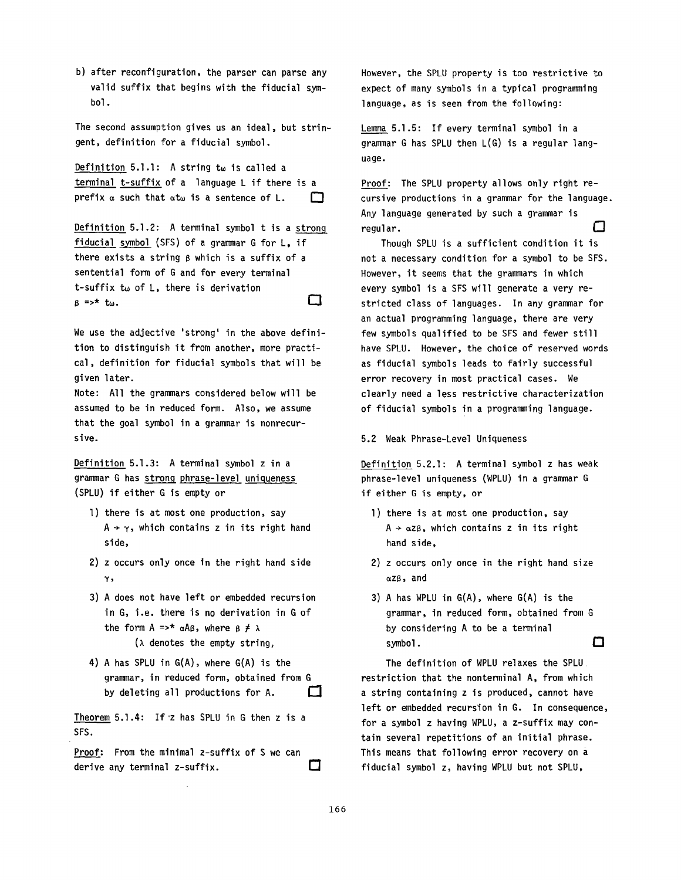b) after reconfiguration, the parser can parse any valid suffix that begins with the fiducial symbol.

The second assumption gives us an ideal, but stringent, definition for a fiducial symbol.

Definition 5.1.1: A string  $t_{\omega}$  is called a terminal t-suffix of a language L if there is a prefix  $\alpha$  such that  $\alpha t_{\omega}$  is a sentence of L.  $\Box$ 

Definition 5.1.2: A terminal symbol t is a strong fiducial symbol (SFS) of a grammar G for L, if there exists a string  $\beta$  which is a suffix of a sentential form of G and for every terminal t-suffix  $t_{\omega}$  of  $L$ , there is derivation  $B \Rightarrow^*$  tw.

We use the adjective 'strong' in the above definition to distinguish it from another, more practical, definition for fiducial symbols that will be given later.

Note: All the grammars considered below will be assumed to be in reduced form. Also, we assume that the goal symbol in a grammar is nonrecursive.

Definition 5.1.3: A terminal symbol z in a grammar G has strong phrase-level uniqueness (SPLU) if either G is empty or

- l) there is at most one production, say  $A \rightarrow \gamma$ , which contains z in its right hand side,
- 2) z occurs only once in the right hand side  $\mathbf{v}$ .
- 3) A does not have left or embedded recursion in G, i.e. there is no derivation in G of the form A =>\*  $\alpha$ A $\beta$ , where  $\beta \neq \lambda$  $(\lambda$  denotes the empty string,
- 4) A has SPLU in G(A), where G(A) is the grammar, in reduced form, obtained from G by deleting all productions for A.  $\Box$

Theorem 5.1.4: If'z has SPLU in G then z is a SFS.

Proof: From the minimal z-suffix of S we can □ derive any terminal z-suffix.

However, the SPLU property is too restrictive to expect of many symbols in a typical programming language, as is seen from the following:

Lemma 5.1.5: If every terminal symbol in a grammar G has SPLU then L(G) is a regular language.

Proof: The SPLU property allows only right recursive productions in a grammar for the language. Any language generated by such a grammar is regular.  $\Box$ 

Though SPLU is a sufficient condition it is not a necessary condition for a symbol to be SFS. However, it seems that the grammars in which every symbol is a SFS will generate a very restricted class of languages. In any grammar for an actual programming language, there are very few symbols qualified to be SFS and fewer still have SPLU. However, the choice of reserved words as fiducial symbols leads to fairly successful error recovery in most practical cases. We clearly need a less restrictive characterization of fiducial symbols in a programming language.

5.2 Weak Phrase-Level Uniqueness

Definition 5.2.1: A terminal symbol z has weak phrase-level uniqueness (WPLU) in a grammar G if either G is empty, or

- l) there is at most one production, say  $A \rightarrow \alpha z \beta$ , which contains z in its right hand side,
- 2) z occurs only once in the right hand size ~zB, and
- 3) A has WPLU in G(A), where G(A) is the grammar, in reduced form, obtained from G by considering A to be a terminal symbol,  $\Box$

The definition of WPLU relaxes the SPLU restriction that the nonterminal A, from which a string containing z is produced, cannot have left or embedded recursion in G. In consequence, for a symbol z having WPLU, a z-suffix may contain several repetitions of an initial phrase. This means that following error recovery on a fiducial symbol z, having WPLU but not SPLU,